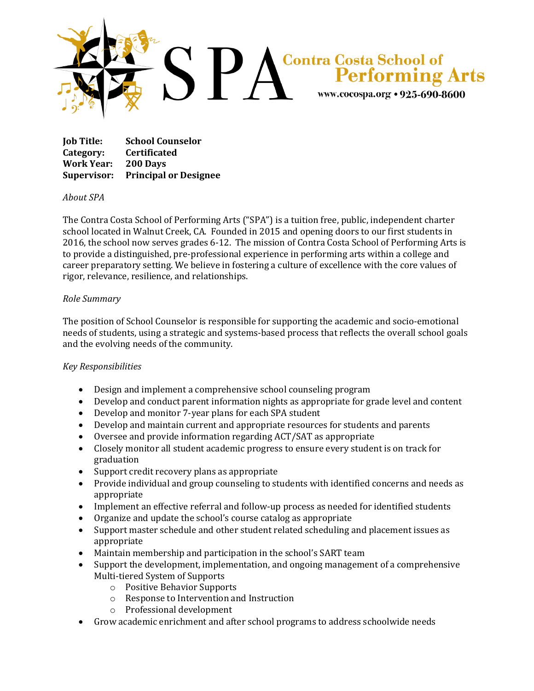

**Job Title: School Counselor Category: Certificated Work Year: 200 Days Supervisor: Principal or Designee**

## *About SPA*

The Contra Costa School of Performing Arts ("SPA") is a tuition free, public, independent charter school located in Walnut Creek, CA. Founded in 2015 and opening doors to our first students in 2016, the school now serves grades 6-12. The mission of Contra Costa School of Performing Arts is to provide a distinguished, pre-professional experience in performing arts within a college and career preparatory setting. We believe in fostering a culture of excellence with the core values of rigor, relevance, resilience, and relationships.

## *Role Summary*

The position of School Counselor is responsible for supporting the academic and socio-emotional needs of students, using a strategic and systems-based process that reflects the overall school goals and the evolving needs of the community.

## *Key Responsibilities*

- Design and implement a comprehensive school counseling program
- Develop and conduct parent information nights as appropriate for grade level and content
- Develop and monitor 7-year plans for each SPA student
- Develop and maintain current and appropriate resources for students and parents
- Oversee and provide information regarding ACT/SAT as appropriate
- Closely monitor all student academic progress to ensure every student is on track for graduation
- Support credit recovery plans as appropriate
- Provide individual and group counseling to students with identified concerns and needs as appropriate
- Implement an effective referral and follow-up process as needed for identified students
- Organize and update the school's course catalog as appropriate
- Support master schedule and other student related scheduling and placement issues as appropriate
- Maintain membership and participation in the school's SART team
- Support the development, implementation, and ongoing management of a comprehensive Multi-tiered System of Supports
	- o Positive Behavior Supports
	- o Response to Intervention and Instruction
	- o Professional development
- Grow academic enrichment and after school programs to address schoolwide needs